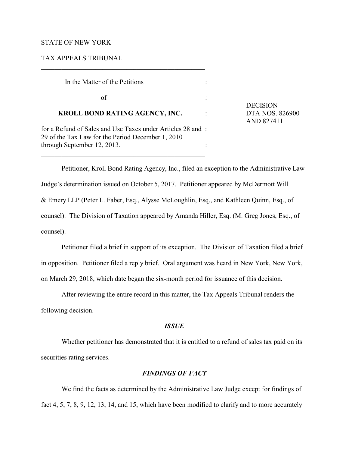### STATE OF NEW YORK

TAX APPEALS TRIBUNAL

| In the Matter of the Petitions                                                                                  |  |
|-----------------------------------------------------------------------------------------------------------------|--|
| of                                                                                                              |  |
| <b>KROLL BOND RATING AGENCY, INC.</b>                                                                           |  |
| for a Refund of Sales and Use Taxes under Articles 28 and:<br>29 of the Tax Law for the Period December 1, 2010 |  |
| through September 12, 2013.                                                                                     |  |

\_\_\_\_\_\_\_\_\_\_\_\_\_\_\_\_\_\_\_\_\_\_\_\_\_\_\_\_\_\_\_\_\_\_\_\_\_\_\_\_\_\_\_\_\_\_\_\_

DECISION **DTA NOS. 826900** AND 827411

Petitioner, Kroll Bond Rating Agency, Inc., filed an exception to the Administrative Law Judge's determination issued on October 5, 2017. Petitioner appeared by McDermott Will & Emery LLP (Peter L. Faber, Esq., Alysse McLoughlin, Esq., and Kathleen Quinn, Esq., of counsel). The Division of Taxation appeared by Amanda Hiller, Esq. (M. Greg Jones, Esq., of counsel).

Petitioner filed a brief in support of its exception. The Division of Taxation filed a brief in opposition. Petitioner filed a reply brief. Oral argument was heard in New York, New York, on March 29, 2018, which date began the six-month period for issuance of this decision.

After reviewing the entire record in this matter, the Tax Appeals Tribunal renders the following decision.

### *ISSUE*

Whether petitioner has demonstrated that it is entitled to a refund of sales tax paid on its securities rating services.

# *FINDINGS OF FACT*

We find the facts as determined by the Administrative Law Judge except for findings of fact 4, 5, 7, 8, 9, 12, 13, 14, and 15, which have been modified to clarify and to more accurately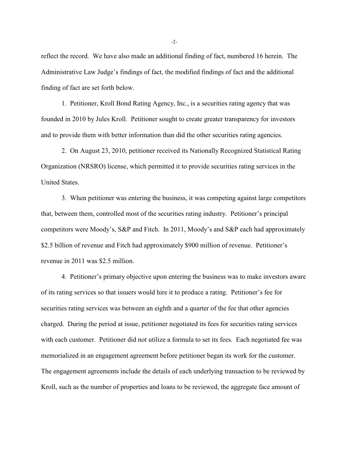reflect the record. We have also made an additional finding of fact, numbered 16 herein. The Administrative Law Judge's findings of fact, the modified findings of fact and the additional finding of fact are set forth below.

1. Petitioner, Kroll Bond Rating Agency, Inc., is a securities rating agency that was founded in 2010 by Jules Kroll. Petitioner sought to create greater transparency for investors and to provide them with better information than did the other securities rating agencies.

2. On August 23, 2010, petitioner received its Nationally Recognized Statistical Rating Organization (NRSRO) license, which permitted it to provide securities rating services in the United States.

3. When petitioner was entering the business, it was competing against large competitors that, between them, controlled most of the securities rating industry. Petitioner's principal competitors were Moody's, S&P and Fitch. In 2011, Moody's and S&P each had approximately \$2.5 billion of revenue and Fitch had approximately \$900 million of revenue. Petitioner's revenue in 2011 was \$2.5 million.

4. Petitioner's primary objective upon entering the business was to make investors aware of its rating services so that issuers would hire it to produce a rating. Petitioner's fee for securities rating services was between an eighth and a quarter of the fee that other agencies charged. During the period at issue, petitioner negotiated its fees for securities rating services with each customer. Petitioner did not utilize a formula to set its fees. Each negotiated fee was memorialized in an engagement agreement before petitioner began its work for the customer. The engagement agreements include the details of each underlying transaction to be reviewed by Kroll, such as the number of properties and loans to be reviewed, the aggregate face amount of

-2-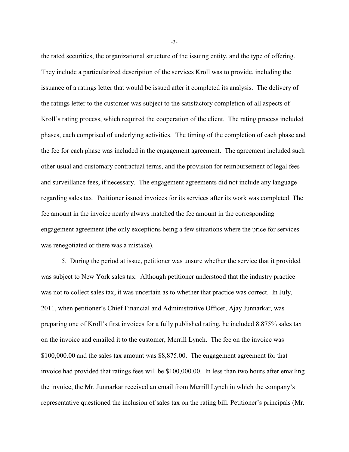the rated securities, the organizational structure of the issuing entity, and the type of offering. They include a particularized description of the services Kroll was to provide, including the issuance of a ratings letter that would be issued after it completed its analysis. The delivery of the ratings letter to the customer was subject to the satisfactory completion of all aspects of Kroll's rating process, which required the cooperation of the client. The rating process included phases, each comprised of underlying activities. The timing of the completion of each phase and the fee for each phase was included in the engagement agreement. The agreement included such other usual and customary contractual terms, and the provision for reimbursement of legal fees and surveillance fees, if necessary. The engagement agreements did not include any language regarding sales tax. Petitioner issued invoices for its services after its work was completed. The fee amount in the invoice nearly always matched the fee amount in the corresponding engagement agreement (the only exceptions being a few situations where the price for services was renegotiated or there was a mistake).

5. During the period at issue, petitioner was unsure whether the service that it provided was subject to New York sales tax. Although petitioner understood that the industry practice was not to collect sales tax, it was uncertain as to whether that practice was correct. In July, 2011, when petitioner's Chief Financial and Administrative Officer, Ajay Junnarkar, was preparing one of Kroll's first invoices for a fully published rating, he included 8.875% sales tax on the invoice and emailed it to the customer, Merrill Lynch. The fee on the invoice was \$100,000.00 and the sales tax amount was \$8,875.00. The engagement agreement for that invoice had provided that ratings fees will be \$100,000.00. In less than two hours after emailing the invoice, the Mr. Junnarkar received an email from Merrill Lynch in which the company's representative questioned the inclusion of sales tax on the rating bill. Petitioner's principals (Mr.

-3-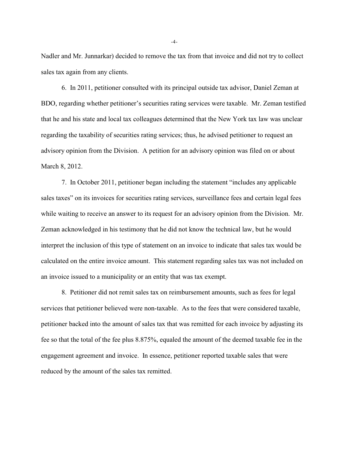Nadler and Mr. Junnarkar) decided to remove the tax from that invoice and did not try to collect sales tax again from any clients.

6. In 2011, petitioner consulted with its principal outside tax advisor, Daniel Zeman at BDO, regarding whether petitioner's securities rating services were taxable. Mr. Zeman testified that he and his state and local tax colleagues determined that the New York tax law was unclear regarding the taxability of securities rating services; thus, he advised petitioner to request an advisory opinion from the Division. A petition for an advisory opinion was filed on or about March 8, 2012.

7. In October 2011, petitioner began including the statement "includes any applicable sales taxes" on its invoices for securities rating services, surveillance fees and certain legal fees while waiting to receive an answer to its request for an advisory opinion from the Division. Mr. Zeman acknowledged in his testimony that he did not know the technical law, but he would interpret the inclusion of this type of statement on an invoice to indicate that sales tax would be calculated on the entire invoice amount. This statement regarding sales tax was not included on an invoice issued to a municipality or an entity that was tax exempt.

8. Petitioner did not remit sales tax on reimbursement amounts, such as fees for legal services that petitioner believed were non-taxable. As to the fees that were considered taxable, petitioner backed into the amount of sales tax that was remitted for each invoice by adjusting its fee so that the total of the fee plus 8.875%, equaled the amount of the deemed taxable fee in the engagement agreement and invoice. In essence, petitioner reported taxable sales that were reduced by the amount of the sales tax remitted.

-4-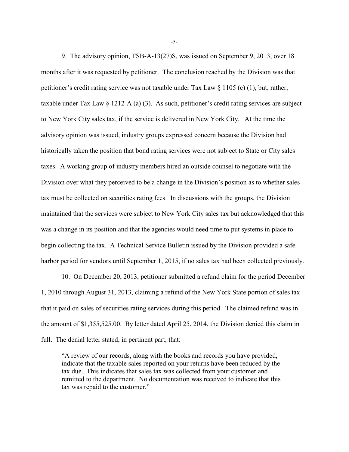9. The advisory opinion, TSB-A-13(27)S, was issued on September 9, 2013, over 18 months after it was requested by petitioner. The conclusion reached by the Division was that petitioner's credit rating service was not taxable under Tax Law § 1105 (c) (1), but, rather, taxable under Tax Law § 1212-A (a) (3). As such, petitioner's credit rating services are subject to New York City sales tax, if the service is delivered in New York City. At the time the advisory opinion was issued, industry groups expressed concern because the Division had historically taken the position that bond rating services were not subject to State or City sales taxes. A working group of industry members hired an outside counsel to negotiate with the Division over what they perceived to be a change in the Division's position as to whether sales tax must be collected on securities rating fees. In discussions with the groups, the Division maintained that the services were subject to New York City sales tax but acknowledged that this was a change in its position and that the agencies would need time to put systems in place to begin collecting the tax. A Technical Service Bulletin issued by the Division provided a safe harbor period for vendors until September 1, 2015, if no sales tax had been collected previously.

10. On December 20, 2013, petitioner submitted a refund claim for the period December 1, 2010 through August 31, 2013, claiming a refund of the New York State portion of sales tax that it paid on sales of securities rating services during this period. The claimed refund was in the amount of \$1,355,525.00. By letter dated April 25, 2014, the Division denied this claim in full. The denial letter stated, in pertinent part, that:

"A review of our records, along with the books and records you have provided, indicate that the taxable sales reported on your returns have been reduced by the tax due. This indicates that sales tax was collected from your customer and remitted to the department. No documentation was received to indicate that this tax was repaid to the customer."

-5-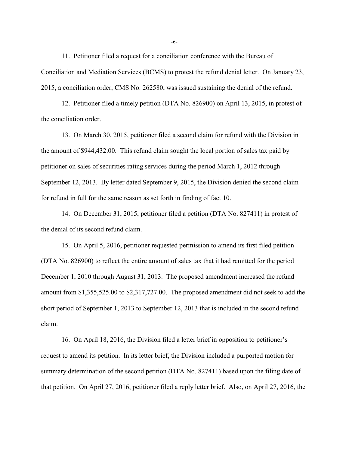11. Petitioner filed a request for a conciliation conference with the Bureau of Conciliation and Mediation Services (BCMS) to protest the refund denial letter. On January 23, 2015, a conciliation order, CMS No. 262580, was issued sustaining the denial of the refund.

12. Petitioner filed a timely petition (DTA No. 826900) on April 13, 2015, in protest of the conciliation order.

13. On March 30, 2015, petitioner filed a second claim for refund with the Division in the amount of \$944,432.00. This refund claim sought the local portion of sales tax paid by petitioner on sales of securities rating services during the period March 1, 2012 through September 12, 2013. By letter dated September 9, 2015, the Division denied the second claim for refund in full for the same reason as set forth in finding of fact 10.

14. On December 31, 2015, petitioner filed a petition (DTA No. 827411) in protest of the denial of its second refund claim.

15. On April 5, 2016, petitioner requested permission to amend its first filed petition (DTA No. 826900) to reflect the entire amount of sales tax that it had remitted for the period December 1, 2010 through August 31, 2013. The proposed amendment increased the refund amount from \$1,355,525.00 to \$2,317,727.00. The proposed amendment did not seek to add the short period of September 1, 2013 to September 12, 2013 that is included in the second refund claim.

16. On April 18, 2016, the Division filed a letter brief in opposition to petitioner's request to amend its petition. In its letter brief, the Division included a purported motion for summary determination of the second petition (DTA No. 827411) based upon the filing date of that petition. On April 27, 2016, petitioner filed a reply letter brief. Also, on April 27, 2016, the

-6-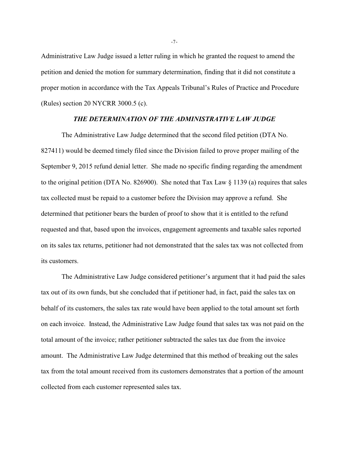Administrative Law Judge issued a letter ruling in which he granted the request to amend the petition and denied the motion for summary determination, finding that it did not constitute a proper motion in accordance with the Tax Appeals Tribunal's Rules of Practice and Procedure (Rules) section 20 NYCRR 3000.5 (c).

# *THE DETERMINATION OF THE ADMINISTRATIVE LAW JUDGE*

The Administrative Law Judge determined that the second filed petition (DTA No. 827411) would be deemed timely filed since the Division failed to prove proper mailing of the September 9, 2015 refund denial letter. She made no specific finding regarding the amendment to the original petition (DTA No. 826900). She noted that Tax Law § 1139 (a) requires that sales tax collected must be repaid to a customer before the Division may approve a refund. She determined that petitioner bears the burden of proof to show that it is entitled to the refund requested and that, based upon the invoices, engagement agreements and taxable sales reported on its sales tax returns, petitioner had not demonstrated that the sales tax was not collected from its customers.

The Administrative Law Judge considered petitioner's argument that it had paid the sales tax out of its own funds, but she concluded that if petitioner had, in fact, paid the sales tax on behalf of its customers, the sales tax rate would have been applied to the total amount set forth on each invoice. Instead, the Administrative Law Judge found that sales tax was not paid on the total amount of the invoice; rather petitioner subtracted the sales tax due from the invoice amount. The Administrative Law Judge determined that this method of breaking out the sales tax from the total amount received from its customers demonstrates that a portion of the amount collected from each customer represented sales tax.

-7-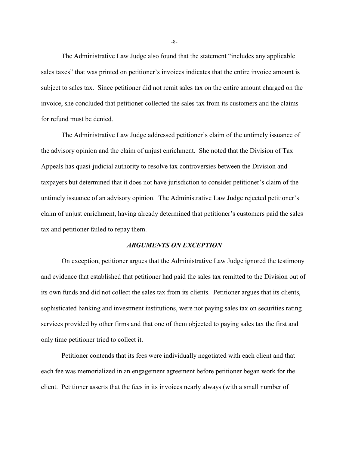The Administrative Law Judge also found that the statement "includes any applicable sales taxes" that was printed on petitioner's invoices indicates that the entire invoice amount is subject to sales tax. Since petitioner did not remit sales tax on the entire amount charged on the invoice, she concluded that petitioner collected the sales tax from its customers and the claims for refund must be denied.

The Administrative Law Judge addressed petitioner's claim of the untimely issuance of the advisory opinion and the claim of unjust enrichment. She noted that the Division of Tax Appeals has quasi-judicial authority to resolve tax controversies between the Division and taxpayers but determined that it does not have jurisdiction to consider petitioner's claim of the untimely issuance of an advisory opinion. The Administrative Law Judge rejected petitioner's claim of unjust enrichment, having already determined that petitioner's customers paid the sales tax and petitioner failed to repay them.

# *ARGUMENTS ON EXCEPTION*

On exception, petitioner argues that the Administrative Law Judge ignored the testimony and evidence that established that petitioner had paid the sales tax remitted to the Division out of its own funds and did not collect the sales tax from its clients. Petitioner argues that its clients, sophisticated banking and investment institutions, were not paying sales tax on securities rating services provided by other firms and that one of them objected to paying sales tax the first and only time petitioner tried to collect it.

Petitioner contends that its fees were individually negotiated with each client and that each fee was memorialized in an engagement agreement before petitioner began work for the client. Petitioner asserts that the fees in its invoices nearly always (with a small number of

-8-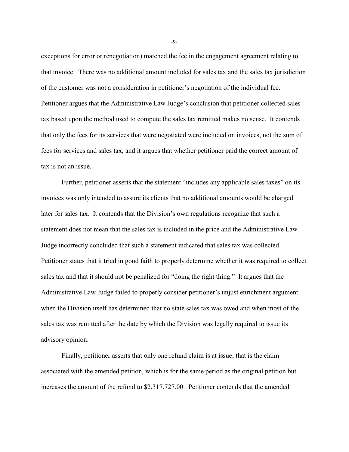exceptions for error or renegotiation) matched the fee in the engagement agreement relating to that invoice. There was no additional amount included for sales tax and the sales tax jurisdiction of the customer was not a consideration in petitioner's negotiation of the individual fee. Petitioner argues that the Administrative Law Judge's conclusion that petitioner collected sales tax based upon the method used to compute the sales tax remitted makes no sense. It contends that only the fees for its services that were negotiated were included on invoices, not the sum of fees for services and sales tax, and it argues that whether petitioner paid the correct amount of tax is not an issue.

Further, petitioner asserts that the statement "includes any applicable sales taxes" on its invoices was only intended to assure its clients that no additional amounts would be charged later for sales tax. It contends that the Division's own regulations recognize that such a statement does not mean that the sales tax is included in the price and the Administrative Law Judge incorrectly concluded that such a statement indicated that sales tax was collected. Petitioner states that it tried in good faith to properly determine whether it was required to collect sales tax and that it should not be penalized for "doing the right thing." It argues that the Administrative Law Judge failed to properly consider petitioner's unjust enrichment argument when the Division itself has determined that no state sales tax was owed and when most of the sales tax was remitted after the date by which the Division was legally required to issue its advisory opinion.

Finally, petitioner asserts that only one refund claim is at issue; that is the claim associated with the amended petition, which is for the same period as the original petition but increases the amount of the refund to \$2,317,727.00. Petitioner contends that the amended

-9-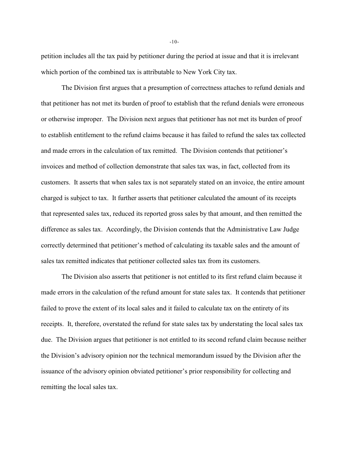petition includes all the tax paid by petitioner during the period at issue and that it is irrelevant which portion of the combined tax is attributable to New York City tax.

The Division first argues that a presumption of correctness attaches to refund denials and that petitioner has not met its burden of proof to establish that the refund denials were erroneous or otherwise improper. The Division next argues that petitioner has not met its burden of proof to establish entitlement to the refund claims because it has failed to refund the sales tax collected and made errors in the calculation of tax remitted. The Division contends that petitioner's invoices and method of collection demonstrate that sales tax was, in fact, collected from its customers. It asserts that when sales tax is not separately stated on an invoice, the entire amount charged is subject to tax. It further asserts that petitioner calculated the amount of its receipts that represented sales tax, reduced its reported gross sales by that amount, and then remitted the difference as sales tax. Accordingly, the Division contends that the Administrative Law Judge correctly determined that petitioner's method of calculating its taxable sales and the amount of sales tax remitted indicates that petitioner collected sales tax from its customers.

The Division also asserts that petitioner is not entitled to its first refund claim because it made errors in the calculation of the refund amount for state sales tax. It contends that petitioner failed to prove the extent of its local sales and it failed to calculate tax on the entirety of its receipts. It, therefore, overstated the refund for state sales tax by understating the local sales tax due. The Division argues that petitioner is not entitled to its second refund claim because neither the Division's advisory opinion nor the technical memorandum issued by the Division after the issuance of the advisory opinion obviated petitioner's prior responsibility for collecting and remitting the local sales tax.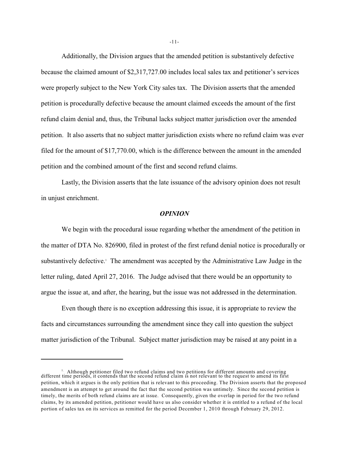Additionally, the Division argues that the amended petition is substantively defective because the claimed amount of \$2,317,727.00 includes local sales tax and petitioner's services were properly subject to the New York City sales tax. The Division asserts that the amended petition is procedurally defective because the amount claimed exceeds the amount of the first refund claim denial and, thus, the Tribunal lacks subject matter jurisdiction over the amended petition. It also asserts that no subject matter jurisdiction exists where no refund claim was ever filed for the amount of \$17,770.00, which is the difference between the amount in the amended petition and the combined amount of the first and second refund claims.

Lastly, the Division asserts that the late issuance of the advisory opinion does not result in unjust enrichment.

### *OPINION*

We begin with the procedural issue regarding whether the amendment of the petition in the matter of DTA No. 826900, filed in protest of the first refund denial notice is procedurally or substantively defective. The amendment was accepted by the Administrative Law Judge in the letter ruling, dated April 27, 2016. The Judge advised that there would be an opportunity to argue the issue at, and after, the hearing, but the issue was not addressed in the determination.

Even though there is no exception addressing this issue, it is appropriate to review the facts and circumstances surrounding the amendment since they call into question the subject matter jurisdiction of the Tribunal. Subject matter jurisdiction may be raised at any point in a

<sup>&</sup>lt;sup>1</sup> Although petitioner filed two refund claims and two petitions for different amounts and covering different time periods, it contends that the second refund claim is not relevant to the request to amend its first petition, which it argues is the only petition that is relevant to this proceeding. The Division asserts that the proposed amendment is an attempt to get around the fact that the second petition was untimely. Since the second petition is timely, the merits of both refund claims are at issue. Consequently, given the overlap in period for the two refund claims, by its amended petition, petitioner would have us also consider whether it is entitled to a refund of the local portion of sales tax on its services as remitted for the period December 1, 2010 through February 29, 2012.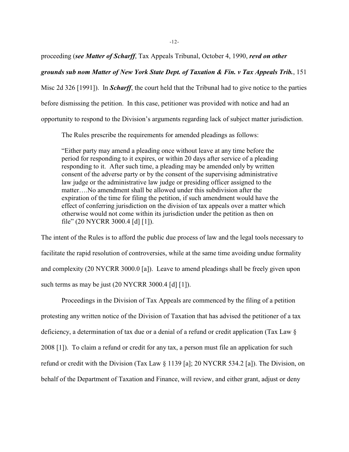proceeding (*see Matter of Scharff*, Tax Appeals Tribunal, October 4, 1990, *revd on other*

# *grounds sub nom Matter of New York State Dept. of Taxation & Fin. v Tax Appeals Trib.*, 151

Misc 2d 326 [1991]). In *Scharff*, the court held that the Tribunal had to give notice to the parties before dismissing the petition. In this case, petitioner was provided with notice and had an opportunity to respond to the Division's arguments regarding lack of subject matter jurisdiction.

The Rules prescribe the requirements for amended pleadings as follows:

"Either party may amend a pleading once without leave at any time before the period for responding to it expires, or within 20 days after service of a pleading responding to it. After such time, a pleading may be amended only by written consent of the adverse party or by the consent of the supervising administrative law judge or the administrative law judge or presiding officer assigned to the matter….No amendment shall be allowed under this subdivision after the expiration of the time for filing the petition, if such amendment would have the effect of conferring jurisdiction on the division of tax appeals over a matter which otherwise would not come within its jurisdiction under the petition as then on file" (20 NYCRR 3000.4 [d] [1]).

The intent of the Rules is to afford the public due process of law and the legal tools necessary to facilitate the rapid resolution of controversies, while at the same time avoiding undue formality and complexity (20 NYCRR 3000.0 [a]). Leave to amend pleadings shall be freely given upon such terms as may be just (20 NYCRR 3000.4 [d] [1]).

Proceedings in the Division of Tax Appeals are commenced by the filing of a petition protesting any written notice of the Division of Taxation that has advised the petitioner of a tax deficiency, a determination of tax due or a denial of a refund or credit application (Tax Law § 2008 [1]). To claim a refund or credit for any tax, a person must file an application for such refund or credit with the Division (Tax Law § 1139 [a]; 20 NYCRR 534.2 [a]). The Division, on behalf of the Department of Taxation and Finance, will review, and either grant, adjust or deny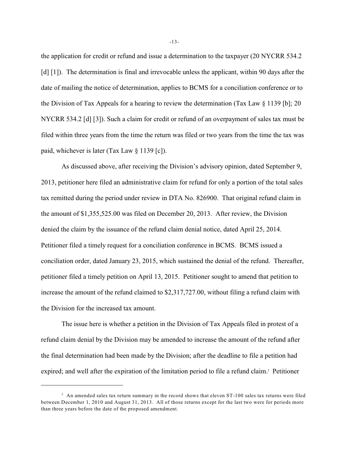the application for credit or refund and issue a determination to the taxpayer (20 NYCRR 534.2 [d] [1]). The determination is final and irrevocable unless the applicant, within 90 days after the date of mailing the notice of determination, applies to BCMS for a conciliation conference or to the Division of Tax Appeals for a hearing to review the determination (Tax Law § 1139 [b]; 20 NYCRR 534.2 [d] [3]). Such a claim for credit or refund of an overpayment of sales tax must be filed within three years from the time the return was filed or two years from the time the tax was paid, whichever is later (Tax Law § 1139 [c]).

As discussed above, after receiving the Division's advisory opinion, dated September 9, 2013, petitioner here filed an administrative claim for refund for only a portion of the total sales tax remitted during the period under review in DTA No. 826900. That original refund claim in the amount of \$1,355,525.00 was filed on December 20, 2013. After review, the Division denied the claim by the issuance of the refund claim denial notice, dated April 25, 2014. Petitioner filed a timely request for a conciliation conference in BCMS. BCMS issued a conciliation order, dated January 23, 2015, which sustained the denial of the refund. Thereafter, petitioner filed a timely petition on April 13, 2015. Petitioner sought to amend that petition to increase the amount of the refund claimed to \$2,317,727.00, without filing a refund claim with the Division for the increased tax amount.

The issue here is whether a petition in the Division of Tax Appeals filed in protest of a refund claim denial by the Division may be amended to increase the amount of the refund after the final determination had been made by the Division; after the deadline to file a petition had expired; and well after the expiration of the limitation period to file a refund claim.<sup>2</sup> Petitioner

-13-

 $2.$  An amended sales tax return summary in the record shows that eleven ST-100 sales tax returns were filed between December 1, 2010 and August 31, 2013. All of those returns except for the last two were for periods more than three years before the date of the proposed amendment.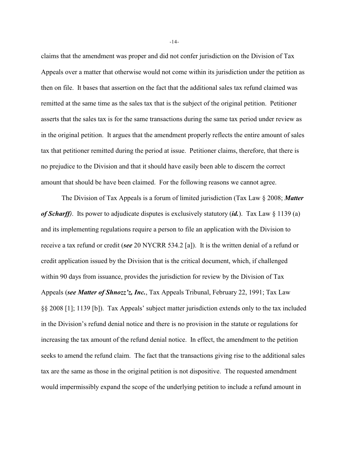claims that the amendment was proper and did not confer jurisdiction on the Division of Tax Appeals over a matter that otherwise would not come within its jurisdiction under the petition as then on file. It bases that assertion on the fact that the additional sales tax refund claimed was remitted at the same time as the sales tax that is the subject of the original petition. Petitioner asserts that the sales tax is for the same transactions during the same tax period under review as in the original petition. It argues that the amendment properly reflects the entire amount of sales tax that petitioner remitted during the period at issue. Petitioner claims, therefore, that there is no prejudice to the Division and that it should have easily been able to discern the correct amount that should be have been claimed. For the following reasons we cannot agree.

The Division of Tax Appeals is a forum of limited jurisdiction (Tax Law § 2008; *Matter of Scharff)*. Its power to adjudicate disputes is exclusively statutory (*id.*). Tax Law § 1139 (a) and its implementing regulations require a person to file an application with the Division to receive a tax refund or credit (*see* 20 NYCRR 534.2 [a]). It is the written denial of a refund or credit application issued by the Division that is the critical document, which, if challenged within 90 days from issuance, provides the jurisdiction for review by the Division of Tax Appeals (*see Matter of Shnozz'z, Inc.*, Tax Appeals Tribunal, February 22, 1991; Tax Law §§ 2008 [1]; 1139 [b]). Tax Appeals' subject matter jurisdiction extends only to the tax included in the Division's refund denial notice and there is no provision in the statute or regulations for increasing the tax amount of the refund denial notice. In effect, the amendment to the petition seeks to amend the refund claim. The fact that the transactions giving rise to the additional sales tax are the same as those in the original petition is not dispositive. The requested amendment would impermissibly expand the scope of the underlying petition to include a refund amount in

-14-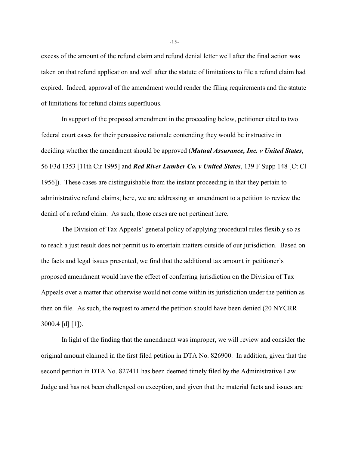excess of the amount of the refund claim and refund denial letter well after the final action was taken on that refund application and well after the statute of limitations to file a refund claim had expired. Indeed, approval of the amendment would render the filing requirements and the statute of limitations for refund claims superfluous.

In support of the proposed amendment in the proceeding below, petitioner cited to two federal court cases for their persuasive rationale contending they would be instructive in deciding whether the amendment should be approved (*Mutual Assurance, Inc. v United States*, 56 F3d 1353 [11th Cir 1995] and *Red River Lumber Co. v United States*, 139 F Supp 148 [Ct Cl 1956]). These cases are distinguishable from the instant proceeding in that they pertain to administrative refund claims; here, we are addressing an amendment to a petition to review the denial of a refund claim. As such, those cases are not pertinent here.

The Division of Tax Appeals' general policy of applying procedural rules flexibly so as to reach a just result does not permit us to entertain matters outside of our jurisdiction. Based on the facts and legal issues presented, we find that the additional tax amount in petitioner's proposed amendment would have the effect of conferring jurisdiction on the Division of Tax Appeals over a matter that otherwise would not come within its jurisdiction under the petition as then on file. As such, the request to amend the petition should have been denied (20 NYCRR 3000.4 [d] [1]).

In light of the finding that the amendment was improper, we will review and consider the original amount claimed in the first filed petition in DTA No. 826900. In addition, given that the second petition in DTA No. 827411 has been deemed timely filed by the Administrative Law Judge and has not been challenged on exception, and given that the material facts and issues are

-15-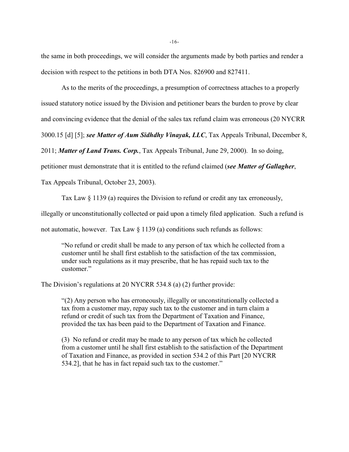the same in both proceedings, we will consider the arguments made by both parties and render a decision with respect to the petitions in both DTA Nos. 826900 and 827411.

As to the merits of the proceedings, a presumption of correctness attaches to a properly issued statutory notice issued by the Division and petitioner bears the burden to prove by clear and convincing evidence that the denial of the sales tax refund claim was erroneous (20 NYCRR 3000.15 [d] [5]; *see Matter of Aum Sidhdhy Vinayak, LLC*, Tax Appeals Tribunal, December 8, 2011; *Matter of Land Trans. Corp.*, Tax Appeals Tribunal, June 29, 2000). In so doing, petitioner must demonstrate that it is entitled to the refund claimed (*see Matter of Gallagher*,

Tax Appeals Tribunal, October 23, 2003).

Tax Law § 1139 (a) requires the Division to refund or credit any tax erroneously,

illegally or unconstitutionally collected or paid upon a timely filed application. Such a refund is

not automatic, however. Tax Law § 1139 (a) conditions such refunds as follows:

"No refund or credit shall be made to any person of tax which he collected from a customer until he shall first establish to the satisfaction of the tax commission, under such regulations as it may prescribe, that he has repaid such tax to the customer."

The Division's regulations at 20 NYCRR 534.8 (a) (2) further provide:

"(2) Any person who has erroneously, illegally or unconstitutionally collected a tax from a customer may, repay such tax to the customer and in turn claim a refund or credit of such tax from the Department of Taxation and Finance, provided the tax has been paid to the Department of Taxation and Finance.

(3) No refund or credit may be made to any person of tax which he collected from a customer until he shall first establish to the satisfaction of the Department of Taxation and Finance, as provided in section 534.2 of this Part [20 NYCRR 534.2], that he has in fact repaid such tax to the customer."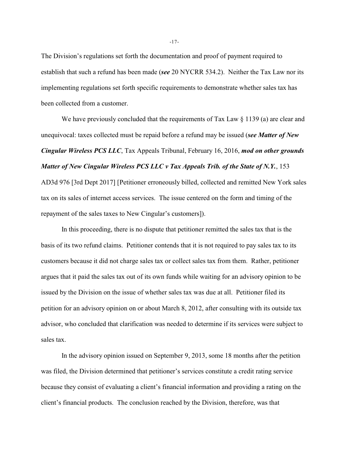The Division's regulations set forth the documentation and proof of payment required to establish that such a refund has been made (*see* 20 NYCRR 534.2). Neither the Tax Law nor its implementing regulations set forth specific requirements to demonstrate whether sales tax has been collected from a customer.

We have previously concluded that the requirements of Tax Law § 1139 (a) are clear and unequivocal: taxes collected must be repaid before a refund may be issued (*see Matter of New Cingular Wireless PCS LLC*, Tax Appeals Tribunal, February 16, 2016, *mod on other grounds Matter of New Cingular Wireless PCS LLC v Tax Appeals Trib. of the State of N.Y.*, 153 AD3d 976 [3rd Dept 2017] [Petitioner erroneously billed, collected and remitted New York sales tax on its sales of internet access services. The issue centered on the form and timing of the repayment of the sales taxes to New Cingular's customers]).

In this proceeding, there is no dispute that petitioner remitted the sales tax that is the basis of its two refund claims. Petitioner contends that it is not required to pay sales tax to its customers because it did not charge sales tax or collect sales tax from them. Rather, petitioner argues that it paid the sales tax out of its own funds while waiting for an advisory opinion to be issued by the Division on the issue of whether sales tax was due at all. Petitioner filed its petition for an advisory opinion on or about March 8, 2012, after consulting with its outside tax advisor, who concluded that clarification was needed to determine if its services were subject to sales tax.

In the advisory opinion issued on September 9, 2013, some 18 months after the petition was filed, the Division determined that petitioner's services constitute a credit rating service because they consist of evaluating a client's financial information and providing a rating on the client's financial products. The conclusion reached by the Division, therefore, was that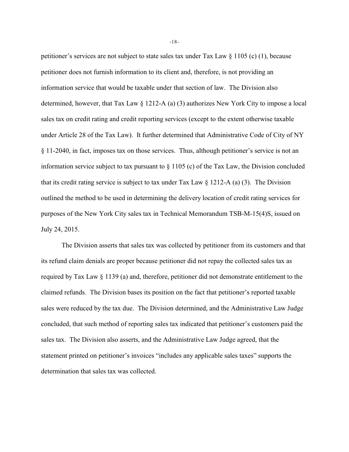petitioner's services are not subject to state sales tax under Tax Law § 1105 (c) (1), because petitioner does not furnish information to its client and, therefore, is not providing an information service that would be taxable under that section of law. The Division also determined, however, that Tax Law § 1212-A (a) (3) authorizes New York City to impose a local sales tax on credit rating and credit reporting services (except to the extent otherwise taxable under Article 28 of the Tax Law). It further determined that Administrative Code of City of NY § 11-2040, in fact, imposes tax on those services. Thus, although petitioner's service is not an information service subject to tax pursuant to § 1105 (c) of the Tax Law, the Division concluded that its credit rating service is subject to tax under Tax Law  $\S$  1212-A (a) (3). The Division outlined the method to be used in determining the delivery location of credit rating services for purposes of the New York City sales tax in Technical Memorandum TSB-M-15(4)S, issued on July 24, 2015.

The Division asserts that sales tax was collected by petitioner from its customers and that its refund claim denials are proper because petitioner did not repay the collected sales tax as required by Tax Law § 1139 (a) and, therefore, petitioner did not demonstrate entitlement to the claimed refunds. The Division bases its position on the fact that petitioner's reported taxable sales were reduced by the tax due. The Division determined, and the Administrative Law Judge concluded, that such method of reporting sales tax indicated that petitioner's customers paid the sales tax. The Division also asserts, and the Administrative Law Judge agreed, that the statement printed on petitioner's invoices "includes any applicable sales taxes" supports the determination that sales tax was collected.

-18-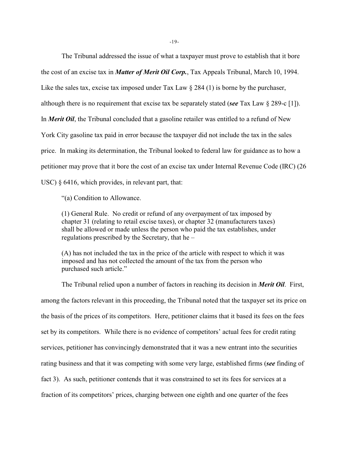The Tribunal addressed the issue of what a taxpayer must prove to establish that it bore the cost of an excise tax in *Matter of Merit Oil Corp.*, Tax Appeals Tribunal, March 10, 1994. Like the sales tax, excise tax imposed under Tax Law  $\S 284 (1)$  is borne by the purchaser, although there is no requirement that excise tax be separately stated (*see* Tax Law § 289-c [1]). In *Merit Oil*, the Tribunal concluded that a gasoline retailer was entitled to a refund of New York City gasoline tax paid in error because the taxpayer did not include the tax in the sales price. In making its determination, the Tribunal looked to federal law for guidance as to how a petitioner may prove that it bore the cost of an excise tax under Internal Revenue Code (IRC) (26 USC)  $\S$  6416, which provides, in relevant part, that:

"(a) Condition to Allowance.

(1) General Rule. No credit or refund of any overpayment of tax imposed by chapter 31 (relating to retail excise taxes), or chapter 32 (manufacturers taxes) shall be allowed or made unless the person who paid the tax establishes, under regulations prescribed by the Secretary, that he –

(A) has not included the tax in the price of the article with respect to which it was imposed and has not collected the amount of the tax from the person who purchased such article."

The Tribunal relied upon a number of factors in reaching its decision in *Merit Oil*. First, among the factors relevant in this proceeding, the Tribunal noted that the taxpayer set its price on the basis of the prices of its competitors. Here, petitioner claims that it based its fees on the fees set by its competitors. While there is no evidence of competitors' actual fees for credit rating services, petitioner has convincingly demonstrated that it was a new entrant into the securities rating business and that it was competing with some very large, established firms (*see* finding of fact 3). As such, petitioner contends that it was constrained to set its fees for services at a fraction of its competitors' prices, charging between one eighth and one quarter of the fees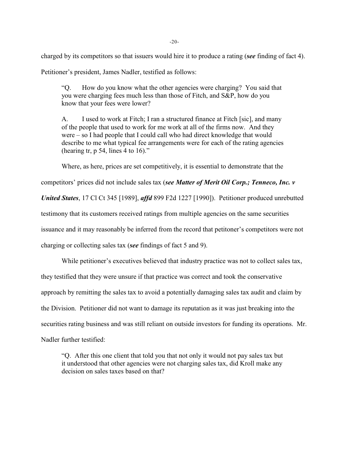charged by its competitors so that issuers would hire it to produce a rating (*see* finding of fact 4).

Petitioner's president, James Nadler, testified as follows:

"Q. How do you know what the other agencies were charging? You said that you were charging fees much less than those of Fitch, and S&P, how do you know that your fees were lower?

A. I used to work at Fitch; I ran a structured finance at Fitch [sic], and many of the people that used to work for me work at all of the firms now. And they were – so I had people that I could call who had direct knowledge that would describe to me what typical fee arrangements were for each of the rating agencies (hearing  $tr$ , p 54, lines 4 to 16)."

Where, as here, prices are set competitively, it is essential to demonstrate that the

competitors' prices did not include sales tax (*see Matter of Merit Oil Corp.; Tenneco, Inc. v*

*United States*, 17 Cl Ct 345 [1989], *affd* 899 F2d 1227 [1990]). Petitioner produced unrebutted

testimony that its customers received ratings from multiple agencies on the same securities

issuance and it may reasonably be inferred from the record that petitoner's competitors were not

charging or collecting sales tax (*see* findings of fact 5 and 9).

While petitioner's executives believed that industry practice was not to collect sales tax,

they testified that they were unsure if that practice was correct and took the conservative

approach by remitting the sales tax to avoid a potentially damaging sales tax audit and claim by

the Division. Petitioner did not want to damage its reputation as it was just breaking into the

securities rating business and was still reliant on outside investors for funding its operations. Mr.

Nadler further testified:

"Q. After this one client that told you that not only it would not pay sales tax but it understood that other agencies were not charging sales tax, did Kroll make any decision on sales taxes based on that?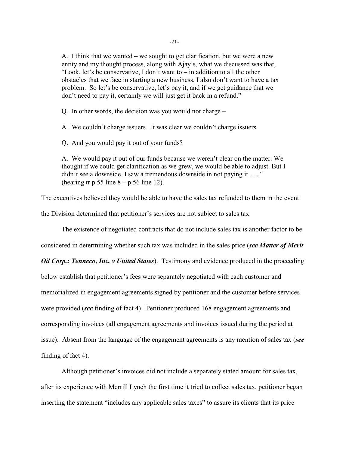A. I think that we wanted – we sought to get clarification, but we were a new entity and my thought process, along with Ajay's, what we discussed was that, "Look, let's be conservative, I don't want to  $-$  in addition to all the other obstacles that we face in starting a new business, I also don't want to have a tax problem. So let's be conservative, let's pay it, and if we get guidance that we don't need to pay it, certainly we will just get it back in a refund."

Q. In other words, the decision was you would not charge –

A. We couldn't charge issuers. It was clear we couldn't charge issuers.

Q. And you would pay it out of your funds?

A. We would pay it out of our funds because we weren't clear on the matter. We thought if we could get clarification as we grew, we would be able to adjust. But I didn't see a downside. I saw a tremendous downside in not paying it . . . " (hearing tr p 55 line  $8 - p 56$  line 12).

The executives believed they would be able to have the sales tax refunded to them in the event the Division determined that petitioner's services are not subject to sales tax.

The existence of negotiated contracts that do not include sales tax is another factor to be

considered in determining whether such tax was included in the sales price (*see Matter of Merit*

*Oil Corp.; Tenneco, Inc. v United States*). Testimony and evidence produced in the proceeding below establish that petitioner's fees were separately negotiated with each customer and memorialized in engagement agreements signed by petitioner and the customer before services were provided (*see* finding of fact 4). Petitioner produced 168 engagement agreements and corresponding invoices (all engagement agreements and invoices issued during the period at issue). Absent from the language of the engagement agreements is any mention of sales tax (*see* finding of fact 4).

Although petitioner's invoices did not include a separately stated amount for sales tax, after its experience with Merrill Lynch the first time it tried to collect sales tax, petitioner began inserting the statement "includes any applicable sales taxes" to assure its clients that its price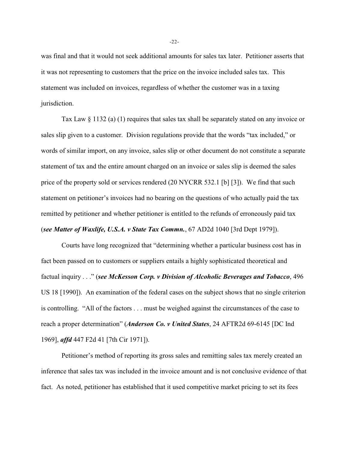was final and that it would not seek additional amounts for sales tax later. Petitioner asserts that it was not representing to customers that the price on the invoice included sales tax. This statement was included on invoices, regardless of whether the customer was in a taxing jurisdiction.

Tax Law § 1132 (a) (1) requires that sales tax shall be separately stated on any invoice or sales slip given to a customer. Division regulations provide that the words "tax included," or words of similar import, on any invoice, sales slip or other document do not constitute a separate statement of tax and the entire amount charged on an invoice or sales slip is deemed the sales price of the property sold or services rendered (20 NYCRR 532.1 [b] [3]). We find that such statement on petitioner's invoices had no bearing on the questions of who actually paid the tax remitted by petitioner and whether petitioner is entitled to the refunds of erroneously paid tax (*see Matter of Waxlife, U.S.A. v State Tax Commn.*, 67 AD2d 1040 [3rd Dept 1979]).

Courts have long recognized that "determining whether a particular business cost has in fact been passed on to customers or suppliers entails a highly sophisticated theoretical and factual inquiry . . ." (*see McKesson Corp. v Division of Alcoholic Beverages and Tobacco*, 496 US 18 [1990]). An examination of the federal cases on the subject shows that no single criterion is controlling. "All of the factors . . . must be weighed against the circumstances of the case to reach a proper determination" (*Anderson Co. v United States*, 24 AFTR2d 69-6145 [DC Ind 1969], *affd* 447 F2d 41 [7th Cir 1971]).

Petitioner's method of reporting its gross sales and remitting sales tax merely created an inference that sales tax was included in the invoice amount and is not conclusive evidence of that fact. As noted, petitioner has established that it used competitive market pricing to set its fees

-22-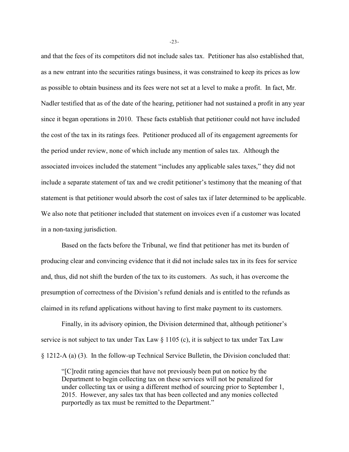and that the fees of its competitors did not include sales tax. Petitioner has also established that, as a new entrant into the securities ratings business, it was constrained to keep its prices as low as possible to obtain business and its fees were not set at a level to make a profit. In fact, Mr. Nadler testified that as of the date of the hearing, petitioner had not sustained a profit in any year since it began operations in 2010. These facts establish that petitioner could not have included the cost of the tax in its ratings fees. Petitioner produced all of its engagement agreements for the period under review, none of which include any mention of sales tax. Although the associated invoices included the statement "includes any applicable sales taxes," they did not include a separate statement of tax and we credit petitioner's testimony that the meaning of that statement is that petitioner would absorb the cost of sales tax if later determined to be applicable. We also note that petitioner included that statement on invoices even if a customer was located in a non-taxing jurisdiction.

Based on the facts before the Tribunal, we find that petitioner has met its burden of producing clear and convincing evidence that it did not include sales tax in its fees for service and, thus, did not shift the burden of the tax to its customers. As such, it has overcome the presumption of correctness of the Division's refund denials and is entitled to the refunds as claimed in its refund applications without having to first make payment to its customers.

Finally, in its advisory opinion, the Division determined that, although petitioner's service is not subject to tax under Tax Law  $\S 1105$  (c), it is subject to tax under Tax Law § 1212-A (a) (3). In the follow-up Technical Service Bulletin, the Division concluded that:

"[C]redit rating agencies that have not previously been put on notice by the Department to begin collecting tax on these services will not be penalized for under collecting tax or using a different method of sourcing prior to September 1, 2015. However, any sales tax that has been collected and any monies collected purportedly as tax must be remitted to the Department."

-23-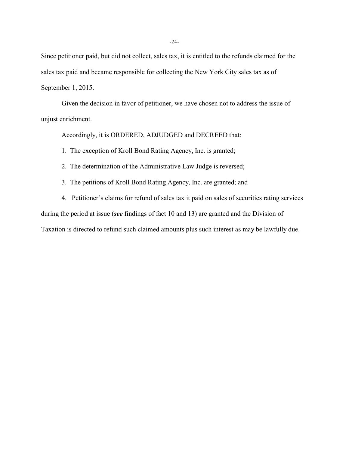Since petitioner paid, but did not collect, sales tax, it is entitled to the refunds claimed for the sales tax paid and became responsible for collecting the New York City sales tax as of September 1, 2015.

Given the decision in favor of petitioner, we have chosen not to address the issue of unjust enrichment.

Accordingly, it is ORDERED, ADJUDGED and DECREED that:

1. The exception of Kroll Bond Rating Agency, Inc. is granted;

2. The determination of the Administrative Law Judge is reversed;

3. The petitions of Kroll Bond Rating Agency, Inc. are granted; and

4. Petitioner's claims for refund of sales tax it paid on sales of securities rating services during the period at issue (*see* findings of fact 10 and 13) are granted and the Division of Taxation is directed to refund such claimed amounts plus such interest as may be lawfully due.